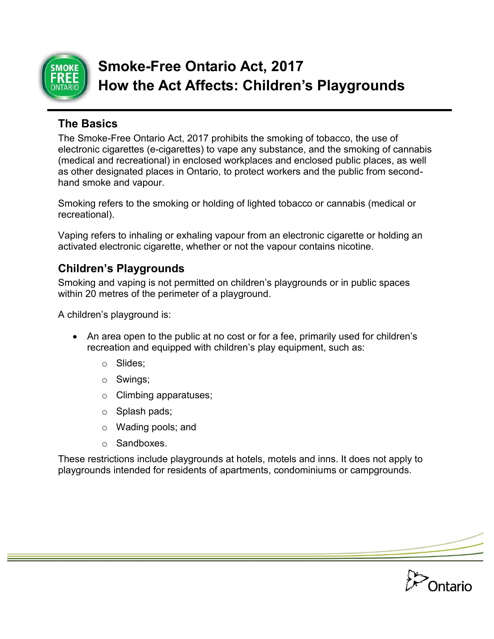

# **Smoke-Free Ontario Act, 2017 How the Act Affects: Children's Playgrounds**

### **The Basics**

The Smoke-Free Ontario Act, 2017 prohibits the smoking of tobacco, the use of electronic cigarettes (e-cigarettes) to vape any substance, and the smoking of cannabis (medical and recreational) in enclosed workplaces and enclosed public places, as well as other designated places in Ontario, to protect workers and the public from secondhand smoke and vapour.

Smoking refers to the smoking or holding of lighted tobacco or cannabis (medical or recreational).

Vaping refers to inhaling or exhaling vapour from an electronic cigarette or holding an activated electronic cigarette, whether or not the vapour contains nicotine.

## **Children's Playgrounds**

Smoking and vaping is not permitted on children's playgrounds or in public spaces within 20 metres of the perimeter of a playground.

A children's playground is:

- An area open to the public at no cost or for a fee, primarily used for children's recreation and equipped with children's play equipment, such as:
	- o Slides;
	- o Swings;
	- o Climbing apparatuses;
	- o Splash pads;
	- o Wading pools; and
	- o Sandboxes.

These restrictions include playgrounds at hotels, motels and inns. It does not apply to playgrounds intended for residents of apartments, condominiums or campgrounds.

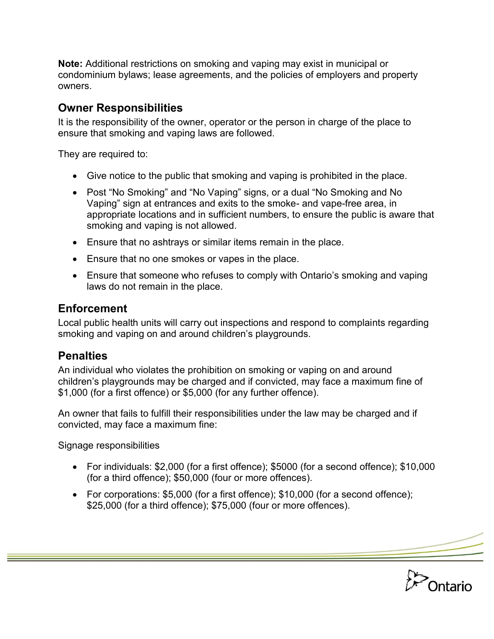**Note:** Additional restrictions on smoking and vaping may exist in municipal or condominium bylaws; lease agreements, and the policies of employers and property owners.

#### **Owner Responsibilities**

It is the responsibility of the owner, operator or the person in charge of the place to ensure that smoking and vaping laws are followed.

They are required to:

- Give notice to the public that smoking and vaping is prohibited in the place.
- Post "No Smoking" and "No Vaping" signs, or a dual "No Smoking and No Vaping" sign at entrances and exits to the smoke- and vape-free area, in appropriate locations and in sufficient numbers, to ensure the public is aware that smoking and vaping is not allowed.
- Ensure that no ashtrays or similar items remain in the place.
- Ensure that no one smokes or vapes in the place.
- Ensure that someone who refuses to comply with Ontario's smoking and vaping laws do not remain in the place.

#### **Enforcement**

Local public health units will carry out inspections and respond to complaints regarding smoking and vaping on and around children's playgrounds.

#### **Penalties**

An individual who violates the prohibition on smoking or vaping on and around children's playgrounds may be charged and if convicted, may face a maximum fine of \$1,000 (for a first offence) or \$5,000 (for any further offence).

An owner that fails to fulfill their responsibilities under the law may be charged and if convicted, may face a maximum fine:

Signage responsibilities

- For individuals: \$2,000 (for a first offence); \$5000 (for a second offence); \$10,000 (for a third offence); \$50,000 (four or more offences).
- For corporations: \$5,000 (for a first offence); \$10,000 (for a second offence); \$25,000 (for a third offence); \$75,000 (four or more offences).